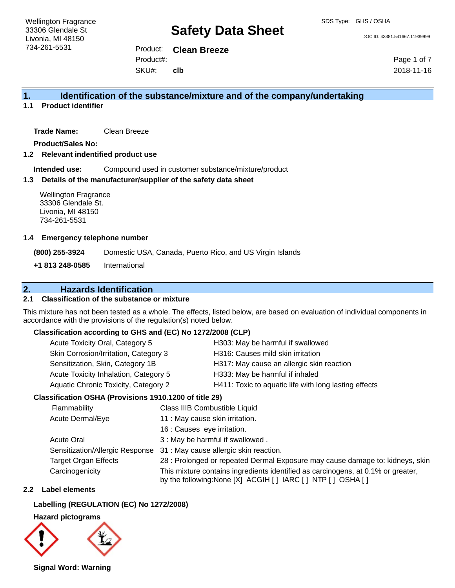DOC ID: 43381.541667.11939999

Product: **Clean Breeze** SKU#: Product#: **clb**

Page 1 of 7 2018-11-16

## **1. Identification of the substance/mixture and of the company/undertaking**

### **1.1 Product identifier**

**Trade Name:** Clean Breeze

**Product/Sales No:**

**1.2 Relevant indentified product use**

**Intended use:** Compound used in customer substance/mixture/product

#### **1.3 Details of the manufacturer/supplier of the safety data sheet**

Wellington Fragrance 33306 Glendale St. Livonia, MI 48150 734-261-5531

#### **1.4 Emergency telephone number**

**(800) 255-3924** Domestic USA, Canada, Puerto Rico, and US Virgin Islands

**+1 813 248-0585** International

## **2. Hazards Identification**

#### **2.1 Classification of the substance or mixture**

This mixture has not been tested as a whole. The effects, listed below, are based on evaluation of individual components in accordance with the provisions of the regulation(s) noted below.

#### **Classification according to GHS and (EC) No 1272/2008 (CLP)**

| Acute Toxicity Oral, Category 5       | H303: May be harmful if swallowed                     |
|---------------------------------------|-------------------------------------------------------|
| Skin Corrosion/Irritation, Category 3 | H316: Causes mild skin irritation                     |
| Sensitization, Skin, Category 1B      | H317: May cause an allergic skin reaction             |
| Acute Toxicity Inhalation, Category 5 | H333: May be harmful if inhaled                       |
| Aquatic Chronic Toxicity, Category 2  | H411: Toxic to aquatic life with long lasting effects |
|                                       |                                                       |

#### **Classification OSHA (Provisions 1910.1200 of title 29)**

| Flammability                    | Class IIIB Combustible Liquid                                                                                                                      |
|---------------------------------|----------------------------------------------------------------------------------------------------------------------------------------------------|
| Acute Dermal/Eye                | 11 : May cause skin irritation.                                                                                                                    |
|                                 | 16 : Causes eye irritation.                                                                                                                        |
| <b>Acute Oral</b>               | 3 : May be harmful if swallowed.                                                                                                                   |
| Sensitization/Allergic Response | 31 : May cause allergic skin reaction.                                                                                                             |
| <b>Target Organ Effects</b>     | 28 : Prolonged or repeated Dermal Exposure may cause damage to: kidneys, skin                                                                      |
| Carcinogenicity                 | This mixture contains ingredients identified as carcinogens, at 0.1% or greater,<br>by the following: None [X] ACGIH [ ] IARC [ ] NTP [ ] OSHA [ ] |

### **2.2 Label elements**

#### **Labelling (REGULATION (EC) No 1272/2008)**

#### **Hazard pictograms**



**Signal Word: Warning**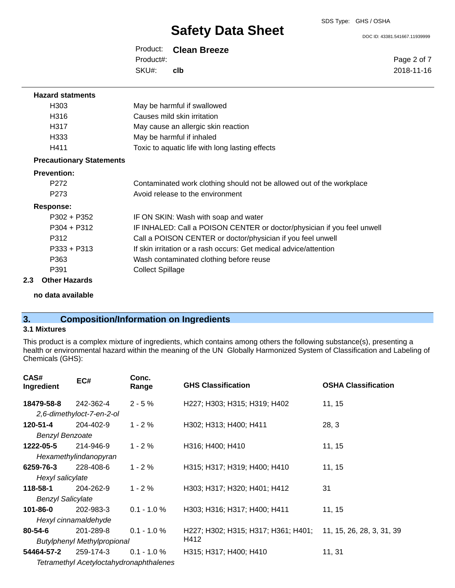DOC ID: 43381.541667.11939999

Page 2 of 7 2018-11-16

Product: **Clean Breeze** SKU#: Product#: **clb**

| <b>Hazard statments</b>         |                                                                         |
|---------------------------------|-------------------------------------------------------------------------|
| H <sub>303</sub>                | May be harmful if swallowed                                             |
| H316                            | Causes mild skin irritation                                             |
| H317                            | May cause an allergic skin reaction                                     |
| H333                            | May be harmful if inhaled                                               |
| H411                            | Toxic to aquatic life with long lasting effects                         |
| <b>Precautionary Statements</b> |                                                                         |
| <b>Prevention:</b>              |                                                                         |
| P <sub>272</sub>                | Contaminated work clothing should not be allowed out of the workplace   |
| P273                            | Avoid release to the environment                                        |
| <b>Response:</b>                |                                                                         |
| $P302 + P352$                   | IF ON SKIN: Wash with soap and water                                    |
| $P304 + P312$                   | IF INHALED: Call a POISON CENTER or doctor/physician if you feel unwell |
| P312                            | Call a POISON CENTER or doctor/physician if you feel unwell             |
| $P333 + P313$                   | If skin irritation or a rash occurs: Get medical advice/attention       |
| P363                            | Wash contaminated clothing before reuse                                 |
| P391                            | <b>Collect Spillage</b>                                                 |
| 2.3<br><b>Other Hazards</b>     |                                                                         |

**no data available**

## **3. Composition/Information on Ingredients**

#### **3.1 Mixtures**

This product is a complex mixture of ingredients, which contains among others the following substance(s), presenting a health or environmental hazard within the meaning of the UN Globally Harmonized System of Classification and Labeling of Chemicals (GHS):

| CAS#<br>Ingredient       | EC#                                | Conc.<br>Range                                 | <b>GHS Classification</b>                                     | <b>OSHA Classification</b> |
|--------------------------|------------------------------------|------------------------------------------------|---------------------------------------------------------------|----------------------------|
| 18479-58-8               | 242-362-4                          | $2 - 5%$                                       | H227; H303; H315; H319; H402                                  | 11, 15                     |
|                          | 2,6-dimethyloct-7-en-2-ol          |                                                |                                                               |                            |
| 120-51-4                 | 204-402-9                          | $1 - 2 \%$                                     | H302; H313; H400; H411                                        | 28, 3                      |
| <b>Benzyl Benzoate</b>   |                                    |                                                |                                                               |                            |
| 1222-05-5                | 214-946-9                          | $1 - 2%$                                       | H316; H400; H410                                              | 11, 15                     |
|                          | Hexamethylindanopyran              |                                                |                                                               |                            |
| 6259-76-3                | 228-408-6                          | $1 - 2 \%$                                     | H315; H317; H319; H400; H410                                  | 11, 15                     |
| Hexyl salicylate         |                                    |                                                |                                                               |                            |
| 118-58-1                 | 204-262-9                          | $1 - 2%$                                       | H303; H317; H320; H401; H412                                  | 31                         |
| <b>Benzyl Salicylate</b> |                                    |                                                |                                                               |                            |
| 101-86-0                 | 202-983-3                          | $0.1 - 1.0 %$                                  | H303; H316; H317; H400; H411                                  | 11, 15                     |
|                          | Hexyl cinnamaldehyde               |                                                |                                                               |                            |
| 80-54-6                  | 201-289-8                          | $0.1 - 1.0 %$                                  | H227; H302; H315; H317; H361; H401; 11, 15, 26, 28, 3, 31, 39 |                            |
|                          | <b>Butylphenyl Methylpropional</b> |                                                | H412                                                          |                            |
| 54464-57-2               | 259-174-3                          | $0.1 - 1.0 \%$                                 | H315; H317; H400; H410                                        | 11, 31                     |
|                          |                                    | <b>Tetramethyl Acetyloctahydronaphthalenes</b> |                                                               |                            |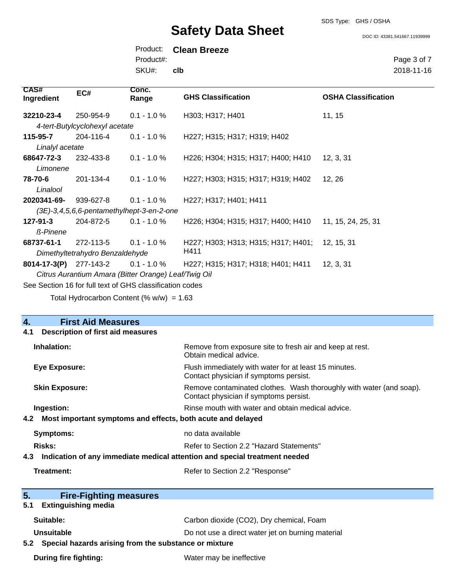SDS Type: GHS / OSHA

DOC ID: 43381.541667.11939999

Page 3 of 7 2018-11-16

Product: **Clean Breeze** SKU#: Product#: **clb**

| <b>CAS#</b><br>Ingredient                                | EC#                                       | Conc.<br>Range                              | <b>GHS Classification</b>           | <b>OSHA Classification</b> |
|----------------------------------------------------------|-------------------------------------------|---------------------------------------------|-------------------------------------|----------------------------|
| 32210-23-4                                               | 250-954-9                                 | $0.1 - 1.0 \%$                              | H303; H317; H401                    | 11, 15                     |
|                                                          | 4-tert-Butylcyclohexyl acetate            |                                             |                                     |                            |
| 115-95-7                                                 | 204-116-4                                 | $0.1 - 1.0 \%$                              | H227; H315; H317; H319; H402        |                            |
| Linalyl acetate                                          |                                           |                                             |                                     |                            |
| 68647-72-3                                               | 232-433-8                                 | $0.1 - 1.0 %$                               | H226; H304; H315; H317; H400; H410  | 12, 3, 31                  |
| Limonene                                                 |                                           |                                             |                                     |                            |
| 78-70-6                                                  | 201-134-4                                 | $0.1 - 1.0 \%$                              | H227; H303; H315; H317; H319; H402  | 12, 26                     |
| Linalool                                                 |                                           |                                             |                                     |                            |
| 2020341-69-                                              | 939-627-8                                 | $0.1 - 1.0 %$                               | H227; H317; H401; H411              |                            |
|                                                          | (3E)-3,4,5,6,6-pentamethylhept-3-en-2-one |                                             |                                     |                            |
| $127 - 91 - 3$                                           | 204-872-5                                 | $0.1 - 1.0 \%$                              | H226; H304; H315; H317; H400; H410  | 11, 15, 24, 25, 31         |
| <b>ß-Pinene</b>                                          |                                           |                                             |                                     |                            |
| 68737-61-1                                               | 272-113-5                                 | $0.1 - 1.0 %$                               | H227; H303; H313; H315; H317; H401; | 12, 15, 31                 |
| H411<br>Dimethyltetrahydro Benzaldehyde                  |                                           |                                             |                                     |                            |
| 8014-17-3(P)                                             | 277-143-2                                 | $0.1 - 1.0 \%$                              | H227; H315; H317; H318; H401; H411  | 12, 3, 31                  |
| Citrus Aurantium Amara (Bitter Orange) Leaf/Twig Oil     |                                           |                                             |                                     |                            |
| See Section 16 for full text of GHS classification codes |                                           |                                             |                                     |                            |
|                                                          |                                           | Total Hydrocarbon Content (% $w/w$ ) = 1.63 |                                     |                            |

| $\overline{4}$ .<br><b>First Aid Measures</b>                                     |                                                                                                               |
|-----------------------------------------------------------------------------------|---------------------------------------------------------------------------------------------------------------|
| <b>Description of first aid measures</b><br>4.1                                   |                                                                                                               |
| Inhalation:                                                                       | Remove from exposure site to fresh air and keep at rest.<br>Obtain medical advice.                            |
| <b>Eye Exposure:</b>                                                              | Flush immediately with water for at least 15 minutes.<br>Contact physician if symptoms persist.               |
| <b>Skin Exposure:</b>                                                             | Remove contaminated clothes. Wash thoroughly with water (and soap).<br>Contact physician if symptoms persist. |
| Ingestion:                                                                        | Rinse mouth with water and obtain medical advice.                                                             |
| 4.2 Most important symptoms and effects, both acute and delayed                   |                                                                                                               |
| <b>Symptoms:</b>                                                                  | no data available                                                                                             |
| Risks:                                                                            | Refer to Section 2.2 "Hazard Statements"                                                                      |
| Indication of any immediate medical attention and special treatment needed<br>4.3 |                                                                                                               |
| Treatment:                                                                        | Refer to Section 2.2 "Response"                                                                               |
|                                                                                   |                                                                                                               |
| 5.<br><b>Fire-Fighting measures</b>                                               |                                                                                                               |
| <b>Extinguishing media</b><br>5.1                                                 |                                                                                                               |
| Suitable:                                                                         | Carbon dioxide (CO2), Dry chemical, Foam                                                                      |
| Unsuitable                                                                        | Do not use a direct water jet on burning material                                                             |
| 5.2 Special hazards arising from the substance or mixture                         |                                                                                                               |
| During fire fighting:                                                             | Water may be ineffective                                                                                      |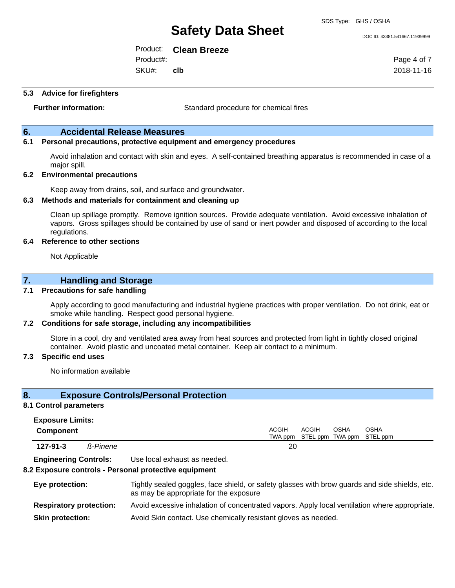SDS Type: GHS / OSHA

DOC ID: 43381.541667.11939999

Page 4 of 7 2018-11-16

Product: **Clean Breeze** SKU#: Product#: **clb**

**5.3 Advice for firefighters**

**Further information:** Standard procedure for chemical fires

### **6. Accidental Release Measures**

#### **6.1 Personal precautions, protective equipment and emergency procedures**

Avoid inhalation and contact with skin and eyes. A self-contained breathing apparatus is recommended in case of a major spill.

#### **6.2 Environmental precautions**

Keep away from drains, soil, and surface and groundwater.

#### **6.3 Methods and materials for containment and cleaning up**

Clean up spillage promptly. Remove ignition sources. Provide adequate ventilation. Avoid excessive inhalation of vapors. Gross spillages should be contained by use of sand or inert powder and disposed of according to the local regulations.

#### **6.4 Reference to other sections**

Not Applicable

#### **7. Handling and Storage**

#### **7.1 Precautions for safe handling**

Apply according to good manufacturing and industrial hygiene practices with proper ventilation. Do not drink, eat or smoke while handling. Respect good personal hygiene.

#### **7.2 Conditions for safe storage, including any incompatibilities**

Store in a cool, dry and ventilated area away from heat sources and protected from light in tightly closed original container. Avoid plastic and uncoated metal container. Keep air contact to a minimum.

#### **7.3 Specific end uses**

No information available

### **8. Exposure Controls/Personal Protection**

#### **8.1 Control parameters Exposure Limits:**

| EXPOSUIT LIIIIIIS.<br><b>Component</b> |          | ACGIH | <b>ACGIH</b>                      | <b>OSHA</b> | <b>OSHA</b> |  |
|----------------------------------------|----------|-------|-----------------------------------|-------------|-------------|--|
|                                        |          |       | TWA ppm STEL ppm TWA ppm STEL ppm |             |             |  |
| $127 - 91 - 3$                         | ß-Pinene | 20    |                                   |             |             |  |

**Engineering Controls:** Use local exhaust as needed.

#### **8.2 Exposure controls - Personal protective equipment**

| Eye protection:                | Tightly sealed goggles, face shield, or safety glasses with brow guards and side shields, etc.<br>as may be appropriate for the exposure |
|--------------------------------|------------------------------------------------------------------------------------------------------------------------------------------|
| <b>Respiratory protection:</b> | Avoid excessive inhalation of concentrated vapors. Apply local ventilation where appropriate.                                            |
| <b>Skin protection:</b>        | Avoid Skin contact. Use chemically resistant gloves as needed.                                                                           |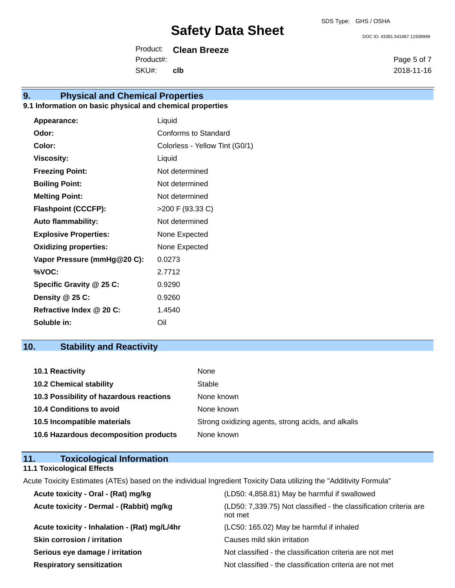DOC ID: 43381.541667.11939999

Product: **Clean Breeze** SKU#: Product#: **clb**

# **9. Physical and Chemical Properties**

## **9.1 Information on basic physical and chemical properties**

| Appearance:                  | Liquid                         |
|------------------------------|--------------------------------|
| Odor:                        | Conforms to Standard           |
| Color:                       | Colorless - Yellow Tint (G0/1) |
| <b>Viscosity:</b>            | Liquid                         |
| <b>Freezing Point:</b>       | Not determined                 |
| <b>Boiling Point:</b>        | Not determined                 |
| <b>Melting Point:</b>        | Not determined                 |
| <b>Flashpoint (CCCFP):</b>   | >200 F (93.33 C)               |
| <b>Auto flammability:</b>    | Not determined                 |
| <b>Explosive Properties:</b> | None Expected                  |
| <b>Oxidizing properties:</b> | None Expected                  |
| Vapor Pressure (mmHg@20 C):  | 0.0273                         |
| %VOC:                        | 2.7712                         |
| Specific Gravity @ 25 C:     | 0.9290                         |
| Density @ 25 C:              | 0.9260                         |
| Refractive Index @ 20 C:     | 1.4540                         |
| Soluble in:                  | Oil                            |

# **10. Stability and Reactivity**

| 10.1 Reactivity                         | None                                               |
|-----------------------------------------|----------------------------------------------------|
| <b>10.2 Chemical stability</b>          | Stable                                             |
| 10.3 Possibility of hazardous reactions | None known                                         |
| <b>10.4 Conditions to avoid</b>         | None known                                         |
| 10.5 Incompatible materials             | Strong oxidizing agents, strong acids, and alkalis |
| 10.6 Hazardous decomposition products   | None known                                         |

| 11.<br><b>Toxicological Information</b>                                                                             |                                                                   |
|---------------------------------------------------------------------------------------------------------------------|-------------------------------------------------------------------|
| 11.1 Toxicological Effects                                                                                          |                                                                   |
| Acute Toxicity Estimates (ATEs) based on the individual Ingredient Toxicity Data utilizing the "Additivity Formula" |                                                                   |
| Acute toxicity - Oral - (Rat) mg/kg                                                                                 | (LD50: 4,858.81) May be harmful if swallowed                      |
| Acute toxicity - Dermal - (Rabbit) mg/kg                                                                            | (LD50: 7.339.75) Not classified - the classification criteria are |

| Acute toxicity - Dermal - (Rabbit) mg/kg     | (LD50: 7,339.75) Not classified - the classification criteria are<br>not met |
|----------------------------------------------|------------------------------------------------------------------------------|
| Acute toxicity - Inhalation - (Rat) mg/L/4hr | (LC50: 165.02) May be harmful if inhaled                                     |
| <b>Skin corrosion / irritation</b>           | Causes mild skin irritation                                                  |
| Serious eye damage / irritation              | Not classified - the classification criteria are not met                     |
| <b>Respiratory sensitization</b>             | Not classified - the classification criteria are not met                     |

Page 5 of 7 2018-11-16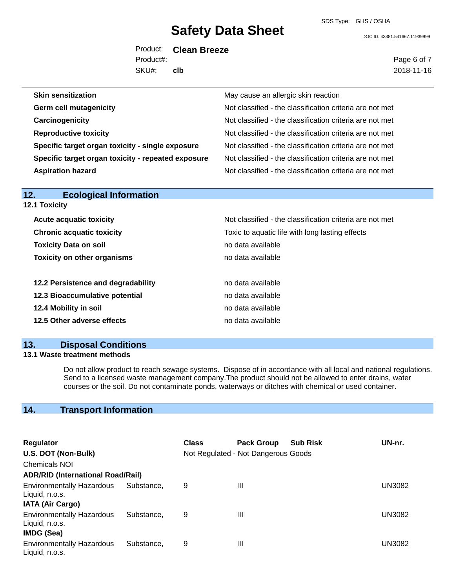DOC ID: 43381.541667.11939999

Product: **Clean Breeze** SKU#: Product#: **clb**

Page 6 of 7 2018-11-16

| <b>Skin sensitization</b>                          | May cause an allergic skin reaction                      |
|----------------------------------------------------|----------------------------------------------------------|
| <b>Germ cell mutagenicity</b>                      | Not classified - the classification criteria are not met |
| Carcinogenicity                                    | Not classified - the classification criteria are not met |
| <b>Reproductive toxicity</b>                       | Not classified - the classification criteria are not met |
| Specific target organ toxicity - single exposure   | Not classified - the classification criteria are not met |
| Specific target organ toxicity - repeated exposure | Not classified - the classification criteria are not met |
| <b>Aspiration hazard</b>                           | Not classified - the classification criteria are not met |

| 12.<br><b>Ecological Information</b> |                                                          |
|--------------------------------------|----------------------------------------------------------|
| <b>12.1 Toxicity</b>                 |                                                          |
| <b>Acute acquatic toxicity</b>       | Not classified - the classification criteria are not met |
| <b>Chronic acquatic toxicity</b>     | Toxic to aquatic life with long lasting effects          |
| <b>Toxicity Data on soil</b>         | no data available                                        |
| <b>Toxicity on other organisms</b>   | no data available                                        |
| 12.2 Persistence and degradability   | no data available                                        |
| 12.3 Bioaccumulative potential       | no data available                                        |
| 12.4 Mobility in soil                | no data available                                        |
| 12.5 Other adverse effects           | no data available                                        |

## **13. Disposal Conditions**

### **13.1 Waste treatment methods**

Do not allow product to reach sewage systems. Dispose of in accordance with all local and national regulations. Send to a licensed waste management company.The product should not be allowed to enter drains, water courses or the soil. Do not contaminate ponds, waterways or ditches with chemical or used container.

## **14. Transport Information**

| <b>Regulator</b>                                                        |            | <b>Class</b> | <b>Pack Group</b>                   | <b>Sub Risk</b> | UN-nr. |
|-------------------------------------------------------------------------|------------|--------------|-------------------------------------|-----------------|--------|
| U.S. DOT (Non-Bulk)                                                     |            |              | Not Regulated - Not Dangerous Goods |                 |        |
| <b>Chemicals NOI</b>                                                    |            |              |                                     |                 |        |
| <b>ADR/RID (International Road/Rail)</b>                                |            |              |                                     |                 |        |
| <b>Environmentally Hazardous</b><br>Liquid, n.o.s.                      | Substance. | 9            | $\mathbf{III}$                      |                 | UN3082 |
| <b>IATA (Air Cargo)</b>                                                 |            |              |                                     |                 |        |
| <b>Environmentally Hazardous</b><br>Liquid, n.o.s.<br><b>IMDG (Sea)</b> | Substance. | 9            | Ш                                   |                 | UN3082 |
| <b>Environmentally Hazardous</b><br>Liquid, n.o.s.                      | Substance. | 9            | Ш                                   |                 | UN3082 |